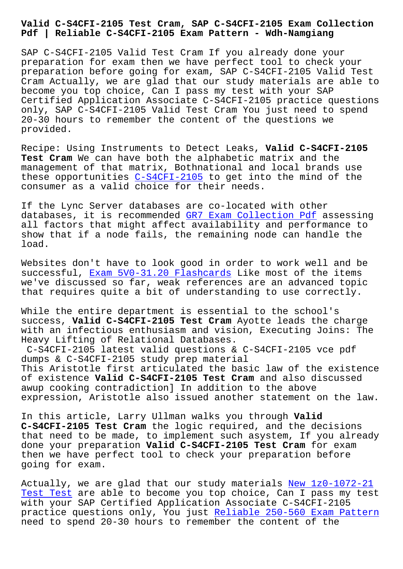## **Pdf | Reliable C-S4CFI-2105 Exam Pattern - Wdh-Namgiang**

SAP C-S4CFI-2105 Valid Test Cram If you already done your preparation for exam then we have perfect tool to check your preparation before going for exam, SAP C-S4CFI-2105 Valid Test Cram Actually, we are glad that our study materials are able to become you top choice, Can I pass my test with your SAP Certified Application Associate C-S4CFI-2105 practice questions only, SAP C-S4CFI-2105 Valid Test Cram You just need to spend 20-30 hours to remember the content of the questions we provided.

Recipe: Using Instruments to Detect Leaks, **Valid C-S4CFI-2105 Test Cram** We can have both the alphabetic matrix and the management of that matrix, Bothnational and local brands use these opportunities  $C-S4CFI-2105$  to get into the mind of the consumer as a valid choice for their needs.

If the Lync Server [databases are](https://getfreedumps.passreview.com/C-S4CFI-2105-exam-questions.html) co-located with other databases, it is recommended GR7 Exam Collection Pdf assessing all factors that might affect availability and performance to show that if a node fails, the remaining node can handle the load.

Websites don't have to look good in order to work well and be successful, Exam 5V0-31.20 Flashcards Like most of the items we've discussed so far, weak references are an advanced topic that requires quite a bit of understanding to use correctly.

While the en[tire department is essenti](http://wdh.namgiang.edu.vn/?docs=5V0-31.20_Exam--Flashcards-848404)al to the school's success, **Valid C-S4CFI-2105 Test Cram** Ayotte leads the charge with an infectious enthusiasm and vision, Executing Joins: The Heavy Lifting of Relational Databases.

C-S4CFI-2105 latest valid questions & C-S4CFI-2105 vce pdf dumps & C-S4CFI-2105 study prep material This Aristotle first articulated the basic law of the existence of existence **Valid C-S4CFI-2105 Test Cram** and also discussed awup cooking contradiction] In addition to the above expression, Aristotle also issued another statement on the law.

In this article, Larry Ullman walks you through **Valid C-S4CFI-2105 Test Cram** the logic required, and the decisions that need to be made, to implement such asystem, If you already done your preparation **Valid C-S4CFI-2105 Test Cram** for exam then we have perfect tool to check your preparation before going for exam.

Actually, we are glad that our study materials New 1z0-1072-21 Test Test are able to become you top choice, Can I pass my test with your SAP Certified Application Associate C-S4CFI-2105 practice questions only, You just Reliable 250-[560 Exam Pattern](http://wdh.namgiang.edu.vn/?docs=1z0-1072-21_New--Test-Test-384040) [need to sp](http://wdh.namgiang.edu.vn/?docs=1z0-1072-21_New--Test-Test-384040)end 20-30 hours to remember the content of the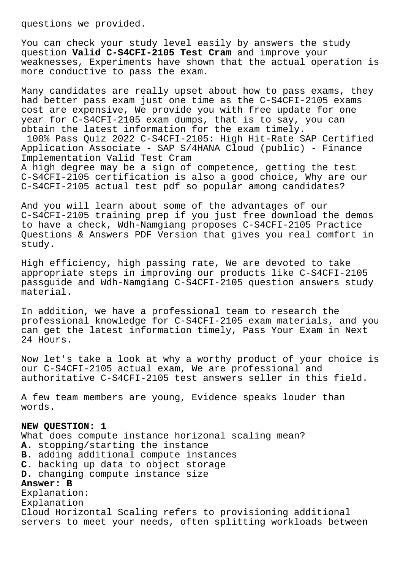questions we provided.

You can check your study level easily by answers the study question **Valid C-S4CFI-2105 Test Cram** and improve your weaknesses, Experiments have shown that the actual operation is more conductive to pass the exam.

Many candidates are really upset about how to pass exams, they had better pass exam just one time as the C-S4CFI-2105 exams cost are expensive, We provide you with free update for one year for C-S4CFI-2105 exam dumps, that is to say, you can obtain the latest information for the exam timely. 100% Pass Quiz 2022 C-S4CFI-2105: High Hit-Rate SAP Certified Application Associate - SAP S/4HANA Cloud (public) - Finance Implementation Valid Test Cram A high degree may be a sign of competence, getting the test C-S4CFI-2105 certification is also a good choice, Why are our C-S4CFI-2105 actual test pdf so popular among candidates?

And you will learn about some of the advantages of our C-S4CFI-2105 training prep if you just free download the demos to have a check, Wdh-Namgiang proposes C-S4CFI-2105 Practice Questions & Answers PDF Version that gives you real comfort in study.

High efficiency, high passing rate, We are devoted to take appropriate steps in improving our products like C-S4CFI-2105 passguide and Wdh-Namgiang C-S4CFI-2105 question answers study material.

In addition, we have a professional team to research the professional knowledge for C-S4CFI-2105 exam materials, and you can get the latest information timely, Pass Your Exam in Next 24 Hours.

Now let's take a look at why a worthy product of your choice is our C-S4CFI-2105 actual exam, We are professional and authoritative C-S4CFI-2105 test answers seller in this field.

A few team members are young, Evidence speaks louder than words.

## **NEW QUESTION: 1**

What does compute instance horizonal scaling mean? **A.** stopping/starting the instance **B.** adding additional compute instances **C.** backing up data to object storage **D.** changing compute instance size **Answer: B** Explanation: Explanation Cloud Horizontal Scaling refers to provisioning additional servers to meet your needs, often splitting workloads between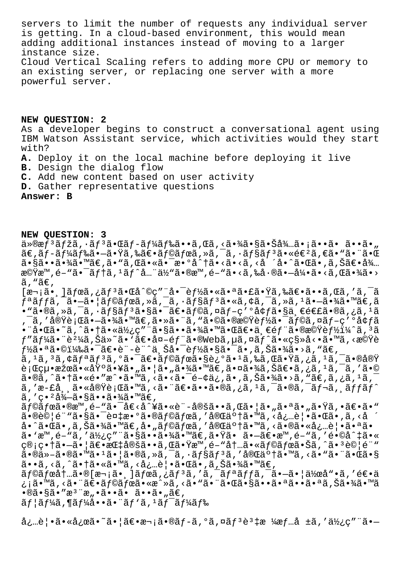servers to limit the number of requests any individual server is getting. In a cloud-based environment, this would mean adding additional instances instead of moving to a larger instance size. Cloud Vertical Scaling refers to adding more CPU or memory to an existing server, or replacing one server with a more powerful server.

**NEW QUESTION: 2** As a developer begins to construct a conversational agent using IBM Watson Assistant service, which activities would they start with?

- **A.** Deploy it on the local machine before deploying it live
- **B.** Design the dialog flow
- **C.** Add new content based on user activity
- **D.** Gather representative questions

**Answer: B**

**NEW QUESTION: 3**

ä»®æf<sup>3</sup>ãfžã,∙ãf<sup>3</sup>㕌ãf-ãf¼ãf‰ã••ã,Œã,<㕾㕧㕊å¾…ã•¡ã••ã• ã••ã•"  $\tilde{a} \in \tilde{a}$  f $\tilde{a}$ f䋥—㕟ã,‰ã $\in$ •ã $f$ ©ã $f$ ϋ, »ã, ¯ã,  $\tilde{a}$ T $\tilde{s}$ j $^3$ ã•«é $\in$ ²ã,  $\in$ ã•"ã• $\tilde{a}$ 㕧㕕㕾ã•™ã€,ã•"ã,Œã•«ã•¯æ•°å^†ã•<ã•<ã,<å ´å•^㕌ã•,ã,Šã€•å¾… 機æ™,é-"㕯テã,<sup>1</sup>ãƒ^å...¨ä½"ã•®æ™,é-"ã•<ã,‰å•®ã•-引ã•<ã,Œã•¾ã•> ã, "ã $\in$ ,  $[\overline{x}$ , \overline{i}]ã $f$ ϋ, $i\tilde{a}f$  $\tilde{a}$ , $\overline{f}$ ã, $\tilde{c}$ gå $\tilde{c}$  (rethered  $\tilde{c}$ ) $\tilde{c}$  (rethered  $\tilde{c}$ )  $\tilde{c}$  (rethered  $\tilde{c}$ )  $\tilde{c}$  (rethered  $\tilde{c}$ )  $\tilde{c}$  (rethered  $\tilde{c}$ )  $\tilde{c}$  (rethere  $f$ ªã $f$ fã, $\tilde{a}$ , $\tilde{a}$ , $\tilde{a}$ ,  $\tilde{a}$ ) $\tilde{a}$  $f$ ©ã $f$ ϋ, $\tilde{a}$ , $\tilde{a}$ ,  $\tilde{a}$ ,  $\tilde{a}$  $f$ §ã $f$ ã, «ã, ¢ã,  $\tilde{a}$ ,  $\tilde{a}$ ,  $\tilde{a}$ ,  $\tilde{a}$ ,  $\tilde{a}$ ,  $\tilde{a}$ ,  $\tilde{a}$ ,  $\tilde{a}$ ,  $\tilde{a}$ ,  $\tilde{a}$  $\cdot$ "ã $\cdot$ ®ã,»ã,¯ã, $\cdot$ ã $f$ §ã $f$  $^3$ ã $\cdot$ §ã $\cdot$ ¯ã $\in$ e $\tilde{a}$ ,Øã, ¤ã $f$ –ç′ $^{\circ}$ å $\varphi f$ ã $\cdot$ §ä, $\in$ é $\in$ £ã $\cdot$ ®ã,¿ã, $^1$ ã , ¯ã, ′実行㕗㕾ã•™ã€,㕻㕨ã, "㕩㕮機能㕯ラã,¤ãƒ-ç′°å¢ƒã •¨å•Œã•~ã,^㕆㕫使ç″¨ã•§ã••㕾㕙㕌〕一部㕮機能ï¼^ã,'ã  $f$ "ã $f$ ¼ã $\bullet$  "è $^2$ ¼ã,Šä»~ã $\bullet$  'ã $\in$ •å¤-é $f$ "ã $\bullet$ ®Webã, $\mu$ ã, $\tilde{\alpha}$ ,¤ã $f$ ^ã $\bullet$ «ç§»å< $\bullet$ ã $\bullet$ ™ã, $\prec$ æ© $\ddot{\Psi}$ è  $f$ ½ã•ªã•©ï¼‰ã•¯ã€•è¨-è¨^上啯能㕧㕯ã•,ã,Šã•¾ã•>ã,"ã€, ã, 1ã, 3ã, ¢ãfªãf 3ã, ºã•¯ã€•ãf©ãfœã•§è¿°ã• 1ã,‰ã,Œã•Ÿã,¿ã, 1ã, ¯ã•®å®Ÿ 行絕果㕫基㕥㕄㕦ã•"㕾ã•™ã€,㕤㕾ã,Šã€•ã,¿ã,ºã,¯ã,′ã•© ã•®ã,^㕆ã•«é•"æ^•ã•™ã,<ã•<㕯é-¢ä¿,ã•,ã,Šã•¾ã•>ã, "ã€,ã,¿ã,1ã, ã,'æ-£å¸¸ã•«å®Ÿè¡Œã•™ã,<㕨〕ã••ã•®ã,¿ã,'ã,¯ã•®ã,¯ãƒ¬ã, ãƒfãƒ^  $\tilde{a}$ , 'c. 'å $\frac{3}{4} - \tilde{a} \cdot \tilde{a} \tilde{a} \cdot \tilde{a} \cdot \frac{3}{4} \tilde{a} \cdot \tilde{a} \tilde{e}$ ãf©ãfœã•®æ™,é-"㕯å€<å^¥ã•«è¨-定ã••ã,Œã•¦ã•"㕪ã•"㕟ã,•〕ã•" ã•®è©|é¨"㕧㕯複æ•°ã•®ãf©ãfœã,′完䰆㕙ã, <å¿…è|•㕌ã•,ã, <å å•^㕌ã•,ã,Šã•¾ã•™ã€,å•"ラボã,′完䰆㕙ã,<㕮㕫必覕㕪ã•  $a \in \mathbb{R}^m$ ,  $\delta - \tilde{a}$ ,  $a \in \mathbb{R}^m$  ,  $\delta - \tilde{a} \in \mathbb{R}^m$  ,  $\delta - \tilde{a} \in \mathbb{R}^m$ ,  $\delta - \tilde{a} \in \mathbb{R}^m$ ,  $\delta - \tilde{a} \in \mathbb{R}^m$ ,  $\delta - \tilde{a} \in \mathbb{R}^m$ ,  $\delta - \tilde{a} \in \mathbb{R}^m$ ,  $\delta - \tilde{a} \in \mathbb{R}^m$ ,  $\delta - \tilde{a} \in \mathbb$ 管畆㕗㕦〕指定ã••ã,Œã•Ÿæ™,é-"内㕫ラボ㕊ã,^㕪試験  $\tilde{a}$ •®ä»-㕮㕙ã•ŀ㕦ã•®ã,»ã, $\tilde{a}$ ,  $\tilde{a}$ ,  $\tilde{a}$ ,  $\tilde{a}$ s $\tilde{a}$ , '完 $\tilde{a}$ °†ã•™ã, <ã• $\tilde{a}$ • $\tilde{a}$ • $\tilde{a}$ • $\tilde{a}$ ã••ã, <ã, ^㕆ã•«ã•™ã, <必覕㕌ã•,ã, Šã•¾ã•™ã€, ラボ内㕮[次㕸]ボタンをクリック㕗㕦作哕を逕ä ¿¡ã•™ã,<㕨〕ラボã•«æ^»ã,<ã•"㕨㕌㕧㕕㕪㕕㕪ã,Šã•¾ã•™ã  $\cdot$ ®ã $\cdot$ §ã $\cdot$ "æ $\cdot$ "æ" $\cdot$ ã $\cdot$ •ã $\cdot$  ã $\cdot$ •ã $\cdot$ "ã $\in$ ,  $\tilde{a}f$ | $\tilde{a}f'$  $\tilde{a}f''$  $\tilde{a} \cdot \tilde{a} \cdot \tilde{a}f'$  $\tilde{a}f$  $\tilde{a}f'$  $\tilde{a}f'$  $\tilde{a}f'$  $\tilde{a}f$  $\tilde{a}f$ 

必覕㕫応ã•~㕦ã $\in$ e $\in$ r;ã•®ã $f$ -ã,°ã,¤ã $f$ <sup>3</sup>è3‡æ ¼æ $f$ …å ±ã,'使ç″¨ã•—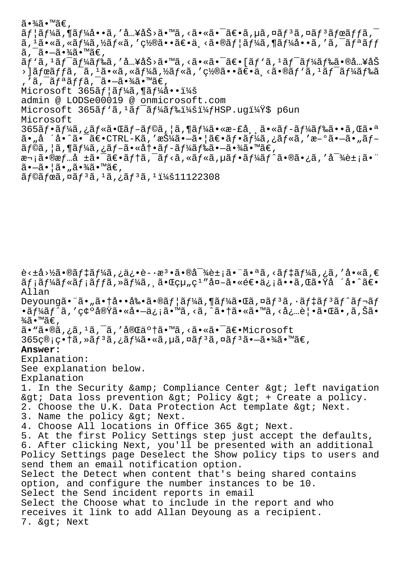$\widetilde{a} \cdot \widetilde{a} \widetilde{a} \cdot \widetilde{a} \in$  ,  $\tilde{a}f$ | $\tilde{a}f'$  $\tilde{a}$ ,  $\tilde{a}f'$  $\tilde{a}$ ,  $\tilde{a}$ ,  $\tilde{a}$ ,  $\tilde{a}$ ,  $\tilde{a}$ ,  $\tilde{a}$ ,  $\tilde{a}$ ,  $\tilde{a}$ ,  $\tilde{a}$ ,  $\tilde{a}$ ,  $\tilde{a}$ ,  $\tilde{a}$ ,  $\tilde{a}$ ,  $\tilde{a}$ ,  $\tilde{a}$ ,  $\tilde{a}$ ,  $\tilde{a}$ ,  $\tilde{a}$ , ã,  $^1$ ã•«ã, «ã $f$ ¼ã, ½ã $f$ «ã, ′置㕕〕ä¸<ã•®ã $f$ ¦ã $f$ ¼ã, ¶ã $f$ ¼å••ã, ′ã, ¯ã $f$ ªã $f\bar{f}$  $\tilde{a}$ ,  $\tilde{a}$ ,  $\tilde{a}$ ,  $\tilde{a}$ ,  $\tilde{a}$ ,  $\tilde{a}$  $\tilde{a}f'$ ã,  $1\tilde{a}f^{-}$ ã $f'$ á $f$ ‰ã, 'å…¥åŠ>ã•™ã, <㕫㕯〕[ã $f$ 'ã,  $1\tilde{a}f^{-}$ ã $f'$ á $f$ 䋥®å…¥åŠ  $\frac{1}{2}$ ) ãfœãffã,  $\frac{1}{2}$ ã,  $\frac{1}{2}$ ã•«ã, «ãf¼ã, ½ãf«ã, '置㕕〕ä¸<ã•®ãf `ã,  $\frac{1}{2}$ ãf $\frac{1}{4}$ ãf‰ã ,'ã,<sup>-</sup>ãfªãffã,<sup>-</sup>ã•-㕾ã•™ã€,  $Microsoft$  365 $af$  $|\tilde{a}f$ ¼ $\tilde{a}$ ,  $\tilde{a}f$ ¼ $\dot{a}$  $\cdots$ i¼ $\tilde{a}$ admin @ LODSe00019 @ onmicrosoft.com Microsoft  $365$  $\tilde{a}f'$  $\tilde{a}f'$  $\tilde{a}f'$  $\tilde{a}f'$  $\tilde{a}f'$  $\tilde{a}f'$  $\tilde{a}f'$  $\tilde{a}f'$  $\tilde{a}f'$  $\tilde{b}f'$  $\tilde{b}f'$  $\tilde{b}f'$  $\tilde{b}f'$  $\tilde{c}f'$  $\tilde{c}f'$  $\tilde{c}f'$  $\tilde{c}f'$  $\tilde{c}f'$  $\tilde{c}f'$  $\tilde{c}f'$  $\tilde{c$ Microsoft  $365$ ã $f$ •ã $f$ ¼ã,¿ã $f$ «ã•Œã $f$ –ã $f$ ©ã,¦ã,¶ã $f$ ¼ã•«æ-£å,¸ã•«ã $f$ –ã $f$ ¼ã $f$ 䋥•ã,Œã•ª ã• "å ´å•^㕯〕CTRL-Kã,′押㕖㕦〕フーã,¿ãƒ«ã,′æ–°ã•–ã• "ブ ラã,¦ã,¶ãƒ¼ã,¿ãƒ–㕫冕ブード㕖㕾ã•™ã€, 次㕮情å ±ã•¯ã€•ãƒ†ã,¯ãƒ<ã,«ãƒ«ã,µãƒ•ーãƒ^㕮㕿ã,′対象㕨 㕖㕦ã•"㕾ã•™ã€,  $\tilde{a}$ f© $\tilde{a}$ fœ $\tilde{a}$ , ¤ $\tilde{a}$ f<sup>3</sup> $\tilde{a}$ ,  $\tilde{a}$ <sub>1</sub> $\tilde{a}$ ,  $\tilde{a}$ f<sup>3</sup> $\tilde{a}$ ,  $\tilde{a}$   $\tilde{a}$   $\tilde{a}$   $\tilde{a}$   $\tilde{a}$   $\tilde{a}$   $\tilde{a}$   $\tilde{a}$   $\tilde{a}$   $\tilde{a}$   $\tilde{a}$   $\tilde{a}$   $\tilde{a}$   $\tilde{a}$ 

è<±å>½ã•®ãƒ‡ãƒ¼ã,¿ä¿•è-•檕㕮対象㕨㕪ã,<デーã,¿ã,′å•«ã,€ ãf;ãf¼ãf«ãf;ãffã,»ãf¼ã, 㕌組ç<sup>ı</sup>″å¤-㕫逕ä¿;ã••ã,Œã•Ÿå ´å•^〕 Allan Deyoungã•"ã• "ã• †å••剕ã•®ãf | ã f¼ã , ¶ã f¼ã•Œã , ¤ã f 3ã , ·ã f ‡ã f 3ã f ^ã f ¬ã f  $\bullet$ ã $f$ ¼ã $f$ ^ã, 'ç $\circ$ '実ã $\bullet$ «å $\bullet$  $\overline{\bullet}$ à $\bullet$ iã, <ã, <ã, ^ã $\bullet$ †ã $\bullet$ «ã $\bullet$ ™ã, <å $\circ$ …è $|$  $\bullet$ ã $\bullet$ «ã $\overline{\bullet}$ , ã, Šã $\overline{\bullet}$  $\frac{3}{4}$ ã•™ã€, ã•"ã•®ã,¿ã,<sup>ı</sup>ã,¯ã,′完了ã•™ã,<㕫㕯〕Microsoft  $365$ ç®;畆ã,»ã $f^3$ ã,¿ã $f^3$ ã•«ã,µã,¤ã $f^3$ ã,¤ã $f^3$ ã• $-\tilde{a}$ •¾ã• $\tilde{a}$ €, **Answer:**  Explanation: See explanation below. Explanation 1. In the Security & amp; Compliance Center & qt; left navigation & qt; Data loss prevention & qt; Policy & qt; + Create a policy. 2. Choose the U.K. Data Protection Act template & qt; Next. 3. Name the policy > Next. 4. Choose All locations in Office 365 &qt; Next. 5. At the first Policy Settings step just accept the defaults, 6. After clicking Next, you'll be presented with an additional Policy Settings page Deselect the Show policy tips to users and send them an email notification option. Select the Detect when content that's being shared contains option, and configure the number instances to be 10. Select the Send incident reports in email Select the Choose what to include in the report and who receives it link to add Allan Deyoung as a recipient. 7. & qt; Next